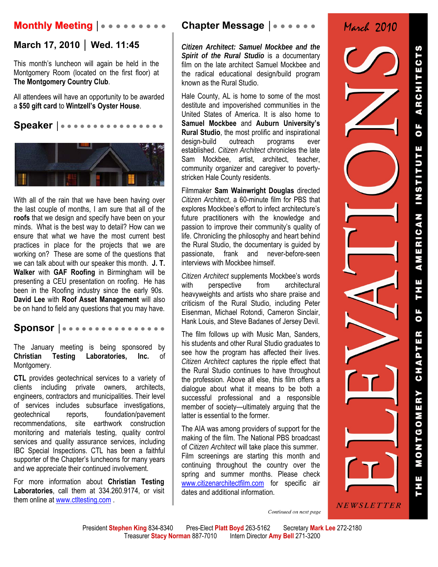# **Monthly Meeting │● ● ● ● ● ● ● ● ●**

## **March 17, 2010 │ Wed. 11:45**

This month's luncheon will again be held in the Montgomery Room (located on the first floor) at **The Montgomery Country Club**.

All attendees will have an opportunity to be awarded a **\$50 gift card** to **Wintzell's Oyster House**.

**Speaker │● ● ● ● ● ● ● ● ● ● ● ● ● ● ● ●** 



With all of the rain that we have been having over the last couple of months, I am sure that all of the **roofs** that we design and specify have been on your minds. What is the best way to detail? How can we ensure that what we have the most current best practices in place for the projects that we are working on? These are some of the questions that we can talk about with our speaker this month. **J. T. Walker** with **GAF Roofing** in Birmingham will be presenting a CEU presentation on roofing. He has been in the Roofing industry since the early 90s. **David Lee** with **Roof Asset Management** will also be on hand to field any questions that you may have.

**Sponsor │● ● ● ● ● ● ● ● ● ● ● ● ● ● ● ●** 

The January meeting is being sponsored by **Christian Testing Laboratories, Inc.** of Montgomery.

**CTL** provides geotechnical services to a variety of clients including private owners, architects, engineers, contractors and municipalities. Their level of services includes subsurface investigations, geotechnical reports, foundation/pavement recommendations, site earthwork construction monitoring and materials testing, quality control services and quality assurance services, including IBC Special Inspections. CTL has been a faithful supporter of the Chapter's luncheons for many years and we appreciate their continued involvement.

For more information about **Christian Testing Laboratories**, call them at 334.260.9174, or visit them online at www.ctltesting.com.

## **Chapter Message │● ● ● ● ● ●**

*Citizen Architect: Samuel Mockbee and the Spirit of the Rural Studio* is a documentary film on the late architect Samuel Mockbee and the radical educational design/build program known as the Rural Studio.

Hale County, AL is home to some of the most destitute and impoverished communities in the United States of America. It is also home to **Samuel Mockbee** and **Auburn University's Rural Studio**, the most prolific and inspirational design-build outreach programs ever established. *Citizen Architect* chronicles the late Sam Mockbee, artist, architect, teacher, community organizer and caregiver to povertystricken Hale County residents.

Filmmaker **Sam Wainwright Douglas** directed *Citizen Architect*, a 60-minute film for PBS that explores Mockbee's effort to infect architecture's future practitioners with the knowledge and passion to improve their community's quality of life. Chronicling the philosophy and heart behind the Rural Studio, the documentary is guided by passionate, frank and never-before-seen interviews with Mockbee himself.

*Citizen Architect* supplements Mockbee's words with perspective from architectural heavyweights and artists who share praise and criticism of the Rural Studio, including Peter Eisenman, Michael Rotondi, Cameron Sinclair, Hank Louis, and Steve Badanes of Jersey Devil.

The film follows up with Music Man, Sanders, his students and other Rural Studio graduates to see how the program has affected their lives. *Citizen Architect* captures the ripple effect that the Rural Studio continues to have throughout the profession. Above all else, this film offers a dialogue about what it means to be both a successful professional and a responsible member of society—ultimately arguing that the latter is essential to the former.

The AIA was among providers of support for the making of the film. The National PBS broadcast of *Citizen Architect* will take place this summer. Film screenings are starting this month and continuing throughout the country over the spring and summer months. Please check www.citizenarchitectfilm.com for specific air dates and additional information.

March 2010

NEWSLETTER

Continued on next page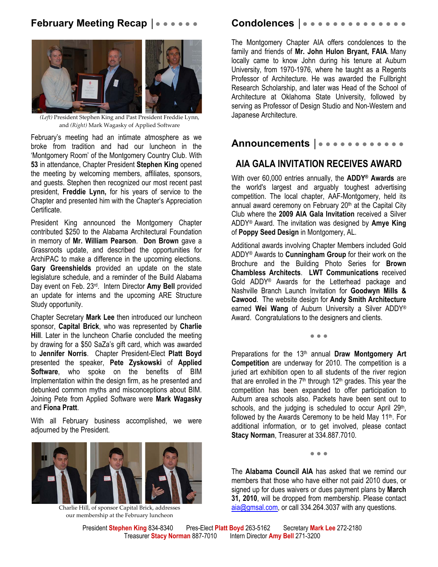## **February Meeting Recap |●●●●●●**



*(Left)* President Stephen King and Past President Freddie Lynn, and *(Right)* Mark Wagasky of Applied Software

February's meeting had an intimate atmosphere as we broke from tradition and had our luncheon in the 'Montgomery Room' of the Montgomery Country Club. With **53** in attendance, Chapter President **Stephen King** opened the meeting by welcoming members, affiliates, sponsors, and guests. Stephen then recognized our most recent past president, **Freddie Lynn,** for his years of service to the Chapter and presented him with the Chapter's Appreciation Certificate.

President King announced the Montgomery Chapter contributed \$250 to the Alabama Architectural Foundation in memory of **Mr. William Pearson**. **Don Brown** gave a Grassroots update, and described the opportunities for ArchiPAC to make a difference in the upcoming elections. **Gary Greenshields** provided an update on the state legislature schedule, and a reminder of the Build Alabama Day event on Feb. 23rd. Intern Director **Amy Bell** provided an update for interns and the upcoming ARE Structure Study opportunity.

Chapter Secretary **Mark Lee** then introduced our luncheon sponsor, **Capital Brick**, who was represented by **Charlie Hill**. Later in the luncheon Charlie concluded the meeting by drawing for a \$50 SaZa's gift card, which was awarded to **Jennifer Norris**. Chapter President-Elect **Platt Boyd** presented the speaker, **Pete Zyskowski** of **Applied Software**, who spoke on the benefits of BIM Implementation within the design firm, as he presented and debunked common myths and misconceptions about BIM. Joining Pete from Applied Software were **Mark Wagasky** and **Fiona Pratt**.

With all February business accomplished, we were adjourned by the President.



Charlie Hill, of sponsor Capital Brick, addresses our membership at the February luncheon

## **Condolences │**● ● ● ● ● ● ● ● ● ● ● ● ● ●

The Montgomery Chapter AIA offers condolences to the family and friends of **Mr. John Hulon Bryant, FAIA**. Many locally came to know John during his tenure at Auburn University, from 1970-1976, where he taught as a Regents Professor of Architecture. He was awarded the Fullbright Research Scholarship, and later was Head of the School of Architecture at Oklahoma State University, followed by serving as Professor of Design Studio and Non-Western and Japanese Architecture.

# **Announcements │**● ● ● ● ● ● ● ● ● ● ● ●

## **AIA GALA INVITATION RECEIVES AWARD**

With over 60,000 entries annually, the **ADDY® Awards** are the world's largest and arguably toughest advertising competition. The local chapter, AAF-Montgomery, held its annual award ceremony on February  $20<sup>th</sup>$  at the Capital City Club where the **2009 AIA Gala Invitation** received a Silver ADDY® Award. The invitation was designed by **Amye King** of **Poppy Seed Design** in Montgomery, AL.

Additional awards involving Chapter Members included Gold ADDY® Awards to **Cunningham Group** for their work on the Brochure and the Building Photo Series for **Brown Chambless Architects**. **LWT Communications** received Gold ADDY® Awards for the Letterhead package and Nashville Branch Launch Invitation for **Goodwyn Mills & Cawood**. The website design for **Andy Smith Architecture** earned **Wei Wang** of Auburn University a Silver ADDY® Award. Congratulations to the designers and clients.

● ● ●

Preparations for the 13<sup>th</sup> annual Draw Montgomery Art **Competition** are underway for 2010. The competition is a juried art exhibition open to all students of the river region that are enrolled in the  $7<sup>th</sup>$  through 12<sup>th</sup> grades. This year the competition has been expanded to offer participation to Auburn area schools also. Packets have been sent out to schools, and the judging is scheduled to occur April 29<sup>th</sup>, followed by the Awards Ceremony to be held May 11th. For additional information, or to get involved, please contact **Stacy Norman**, Treasurer at 334.887.7010.

**● ● ●**

The **Alabama Council AIA** has asked that we remind our members that those who have either not paid 2010 dues, or signed up for dues waivers or dues payment plans by **March 31, 2010**, will be dropped from membership. Please contact aia@gmsal.com, or call 334.264.3037 with any questions.